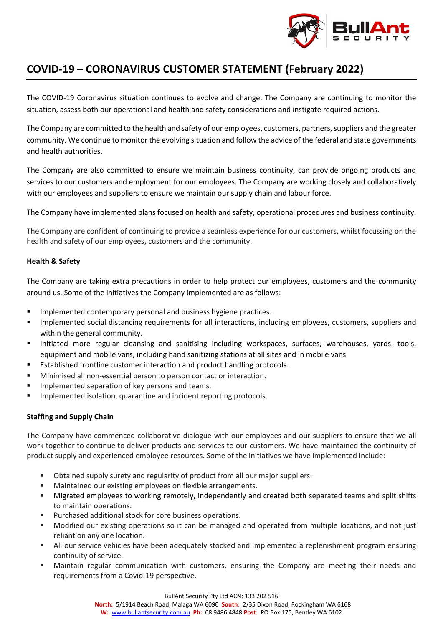

## **COVID-19 – CORONAVIRUS CUSTOMER STATEMENT (February 2022)**

The COVID-19 Coronavirus situation continues to evolve and change. The Company are continuing to monitor the situation, assess both our operational and health and safety considerations and instigate required actions.

The Company are committed to the health and safety of our employees, customers, partners, suppliers and the greater community. We continue to monitor the evolving situation and follow the advice of the federal and state governments and health authorities.

The Company are also committed to ensure we maintain business continuity, can provide ongoing products and services to our customers and employment for our employees. The Company are working closely and collaboratively with our employees and suppliers to ensure we maintain our supply chain and labour force.

The Company have implemented plans focused on health and safety, operational procedures and business continuity.

The Company are confident of continuing to provide a seamless experience for our customers, whilst focussing on the health and safety of our employees, customers and the community.

### **Health & Safety**

The Company are taking extra precautions in order to help protect our employees, customers and the community around us. Some of the initiatives the Company implemented are as follows:

- Implemented contemporary personal and business hygiene practices.
- Implemented social distancing requirements for all interactions, including employees, customers, suppliers and within the general community.
- Initiated more regular cleansing and sanitising including workspaces, surfaces, warehouses, yards, tools, equipment and mobile vans, including hand sanitizing stations at all sites and in mobile vans.
- Established frontline customer interaction and product handling protocols.
- Minimised all non-essential person to person contact or interaction.
- Implemented separation of key persons and teams.
- **■** Implemented isolation, quarantine and incident reporting protocols.

## **Staffing and Supply Chain**

The Company have commenced collaborative dialogue with our employees and our suppliers to ensure that we all work together to continue to deliver products and services to our customers. We have maintained the continuity of product supply and experienced employee resources. Some of the initiatives we have implemented include:

- Obtained supply surety and regularity of product from all our major suppliers.
- Maintained our existing employees on flexible arrangements.
- Migrated employees to working remotely, independently and created both separated teams and split shifts to maintain operations.
- Purchased additional stock for core business operations.
- Modified our existing operations so it can be managed and operated from multiple locations, and not just reliant on any one location.
- **EXTEND 10** All our service vehicles have been adequately stocked and implemented a replenishment program ensuring continuity of service.
- Maintain regular communication with customers, ensuring the Company are meeting their needs and requirements from a Covid-19 perspective.